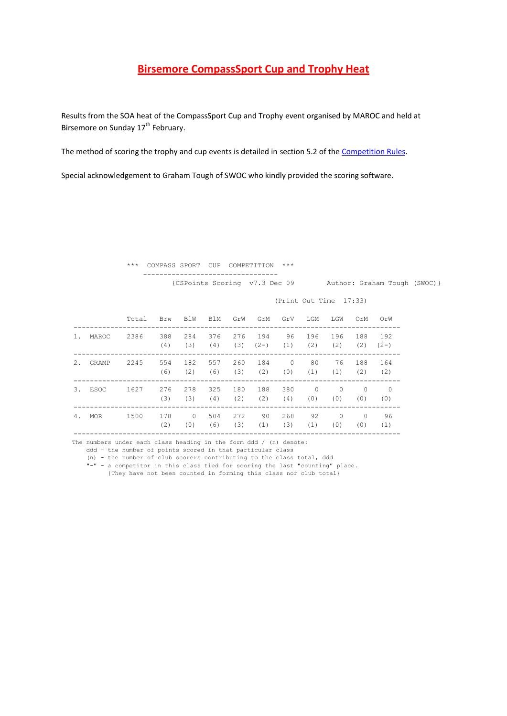# **Birsemore CompassSport Cup and Trophy Heat**

Results from the SOA heat of the CompassSport Cup and Trophy event organised by MAROC and held at Birsemore on Sunday 17<sup>th</sup> February.

The method of scoring the trophy and cup events is detailed in section 5.2 of th[e Competition Rules.](http://www.pgopage.co.uk/docs/CSCRules2013.pdf)

Special acknowledgement to Graham Tough of SWOC who kindly provided the scoring software.

 \*\*\* COMPASS SPORT CUP COMPETITION \*\*\* ---------------------------------

{CSPoints Scoring v7.3 Dec 09 Author: Graham Tough (SWOC)}

(Print Out Time 17:33)

|       | Total | Brw        | BlW             | BlM        | GrW         | GrM           | GrV             | LGM             | LGW             | OrM             | OrW             |
|-------|-------|------------|-----------------|------------|-------------|---------------|-----------------|-----------------|-----------------|-----------------|-----------------|
| MAROC | 2386  | 388<br>(4) | 284<br>(3)      | 376<br>(4) | 276<br>(3)  | 194<br>$(2-)$ | 96<br>(1)       | 196<br>(2)      | 196<br>(2)      | 188<br>(2)      | 192<br>$(2-)$   |
| GRAMP | 2245  | 554<br>(6) | 182<br>(2)      | 557<br>(6) | 260<br>(3)  | 184<br>(2)    | $\Omega$<br>(0) | 80<br>(1)       | 76<br>(1)       | 188<br>(2)      | 164<br>(2)      |
| ESOC  | 1627  | 276<br>(3) | 278<br>(3)      | 325<br>(4) | 180<br>(2)  | 188<br>(2)    | 380<br>(4)      | $\Omega$<br>(0) | $\Omega$<br>(0) | $\Omega$<br>(0) | $\Omega$<br>(0) |
| MOR   | 1500  | 178<br>(2) | $\Omega$<br>(0) | 504<br>(6) | 2.72<br>(3) | 90<br>(1)     | 268<br>(3)      | 92<br>(1)       | $\Omega$<br>(0) | $\Omega$<br>(0) | 96<br>(1)       |
|       |       |            |                 |            |             |               |                 |                 |                 |                 |                 |

The numbers under each class heading in the form ddd / (n) denote:

ddd - the number of points scored in that particular class

(n) - the number of club scorers contributing to the class total, ddd

"-" - a competitor in this class tied for scoring the last "counting" place.

{They have not been counted in forming this class nor club total}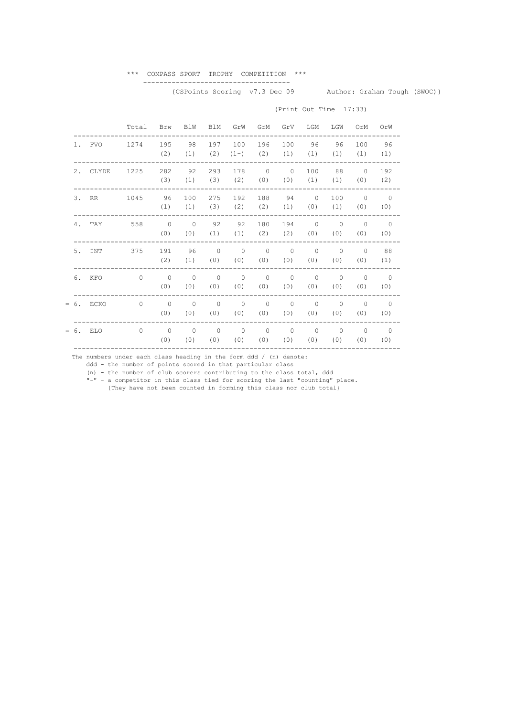#### \*\*\* COMPASS SPORT TROPHY COMPETITION \*\*\* ------------------------------------

(Print Out Time 17:33)

## {CSPoints Scoring v7.3 Dec 09 Author: Graham Tough (SWOC)}

### Total Brw BlW BlM GrW GrM GrV LGM LGW OrM OrW -------------------------------------------------------------------------------- 1. FVO 1274 195 98 197 100 196 100 96 96 100 96 (2) (1) (2) (1-) (2) (1) (1) (1) (1) (1) -------------------------------------------------------------------------------- 2. CLYDE 1225 282 92 293 178 0 0 100 88 0 192<br>(3) (1) (3) (2) (0) (0) (1) (0) (2) (3) (2) (0) (0) (1) (1) (0) (2) -------------------------------------------------------------------------------- 3. RR 1045 96 100 275 192 188 94 0 100 0 0 (1) (1) (3) (2) (2) (1) (0) (1) (0) (0) -------------------------------------------------------------------------------- 4. TAY 558 0 0 92 92 180 194 0 0 0 0<br>(0) (0) (1) (1) (2) (2) (0) (0) (0) (0)  $(0)$   $(0)$   $(1)$   $(1)$   $(2)$   $(2)$  -------------------------------------------------------------------------------- 5. INT 375 191 96 0 0 0 0 0 0 0 88 (2) (1) (0) (0) (0) (0) (0) (0) (0) (1) -------------------------------------------------------------------------------- 6. KFO 0 0 0 0 0 0 0 0 0 0 0 (0) (0) (0) (0) (0) (0) (0) (0) (0) (0) --------------------------------------------------------------------------------

--------------------------------------------------------------------------------

= 6. ECKO 0 0 0 0 0 0 0 0 0 0 0

 -------------------------------------------------------------------------------- = 6. ELO 0 0 0 0 0 0 0 0 0 0 0

(0) (0) (0) (0) (0) (0) (0) (0) (0) (0)

(0) (0) (0) (0) (0) (0) (0) (0) (0) (0)

The numbers under each class heading in the form ddd / (n) denote:

ddd - the number of points scored in that particular class

(n) - the number of club scorers contributing to the class total, ddd

"-" - a competitor in this class tied for scoring the last "counting" place.

{They have not been counted in forming this class nor club total}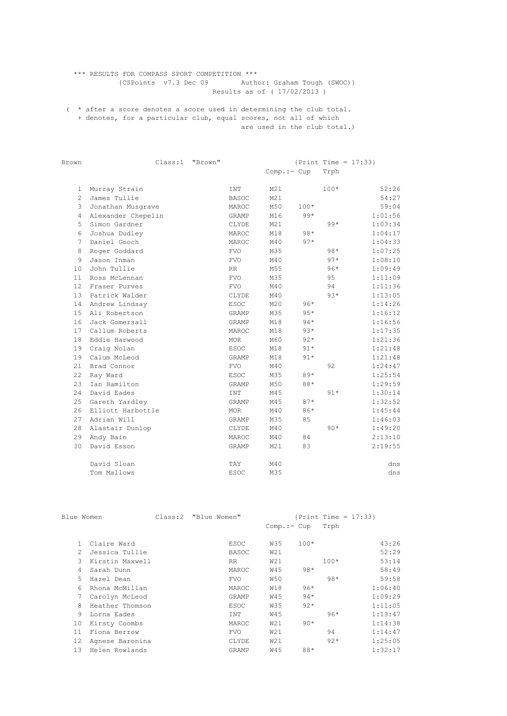## \*\*\* RESULTS FOR COMPASS SPORT COMPETITION \*\*\* {CSPoints v7.3 Dec 09 Author: Graham Tough (SWOC)} Results as of ( 17/02/2013 )

( \* after a score denotes a score used in determining the club total. + denotes, for a particular club, equal scores, not all of which are used in the club total.)

| Brown          |                    | Class:1 | "Brown" |              |              |        |        | ${Print Time = 17:33}$ |
|----------------|--------------------|---------|---------|--------------|--------------|--------|--------|------------------------|
|                |                    |         |         |              | $Comp.:-Cup$ |        | Trph   |                        |
|                |                    |         |         |              |              |        |        |                        |
| 1              | Murray Strain      |         |         | <b>INT</b>   | M21          |        | $100*$ | 52:26                  |
| $\overline{c}$ | James Tullie       |         |         | <b>BASOC</b> | M21          |        |        | 54:27                  |
| 3              | Jonathan Musqrave  |         |         | MAROC        | M50          | $100*$ |        | 59:04                  |
| 4              | Alexander Chepelin |         |         | GRAMP        | M16          | $99*$  |        | 1:01:56                |
| 5              | Simon Gardner      |         |         | CLYDE        | M21          |        | $99*$  | 1:03:34                |
| 6              | Joshua Dudley      |         |         | MAROC        | M18          | $98*$  |        | 1:04:17                |
| 7              | Daniel Gooch       |         |         | MAROC        | M40          | $97*$  |        | 1:04:33                |
| 8              | Roger Goddard      |         |         | <b>FVO</b>   | M35          |        | $98*$  | 1:07:25                |
| 9              | Jason Inman        |         |         | <b>FVO</b>   | M40          |        | $97*$  | 1:08:10                |
| 10             | John Tullie        |         |         | <b>RR</b>    | M55          |        | $96*$  | 1:09:49                |
| 11             | Ross McLennan      |         |         | <b>FVO</b>   | M35          |        | 95     | 1:11:09                |
| 12             | Fraser Purves      |         |         | <b>FVO</b>   | M40          |        | 94     | 1:11:36                |
| 13             | Patrick Walder     |         |         | CLYDE        | M40          |        | $93*$  | 1:13:05                |
| 14             | Andrew Lindsay     |         |         | <b>ESOC</b>  | M20          | $96*$  |        | 1:14:26                |
| 15             | Ali Robertson      |         |         | <b>GRAMP</b> | M35          | $95*$  |        | 1:16:12                |
| 16             | Jack Gomersall     |         |         | <b>GRAMP</b> | M18          | $94*$  |        | 1:16:56                |
| 17             | Callum Roberts     |         |         | MAROC        | M18          | $93*$  |        | 1:17:35                |
| 18             | Eddie Harwood      |         |         | <b>MOR</b>   | M60          | $92*$  |        | 1:21:36                |
| 19             | Craig Nolan        |         |         | <b>ESOC</b>  | M18          | $91*$  |        | 1:21:48                |
| 19             | Calum McLeod       |         |         | <b>GRAMP</b> | M18          | $91*$  |        | 1:21:48                |
| 21             | Brad Connor        |         |         | <b>FVO</b>   | M40          |        | 92     | 1:24:47                |
| 22             | Ray Ward           |         |         | <b>ESOC</b>  | M35          | $89*$  |        | 1:25:54                |
| 23             | Ian Hamilton       |         |         | <b>GRAMP</b> | M50          | 88*    |        | 1:29:59                |
| 24             | David Eades        |         |         | INT          | M45          |        | $91*$  | 1:30:14                |
| 25             | Gareth Yardley     |         |         | <b>GRAMP</b> | M45          | $87*$  |        | 1:32:52                |
| 2.6            | Elliott Harbottle  |         |         | <b>MOR</b>   | M40          | 86*    |        | 1:45:44                |
| 27             | Adrian Will        |         |         | <b>GRAMP</b> | M35          | 85     |        | 1:46:03                |
| 28             | Alastair Dunlop    |         |         | CLYDE        | M40          |        | $90*$  | 1:49:20                |
| 29             | Andy Bain          |         |         | MAROC        | M40          | 84     |        | 2:13:10                |
| 30             | David Esson        |         |         | GRAMP        | M21          | 83     |        | 2:19:55                |
|                | David Sloan        |         |         | TAY          | M40          |        |        | dns                    |
|                | Tom Mallows        |         |         | <b>ESOC</b>  | M35          |        |        | dns                    |
|                |                    |         |         |              |              |        |        |                        |

|    | Blue Women                      | Class:2 "Blue Women" |              |              |        |        | {Print Time = $17:33$ } |
|----|---------------------------------|----------------------|--------------|--------------|--------|--------|-------------------------|
|    |                                 |                      |              | $Comp.:=Cup$ |        | Trph   |                         |
|    | Claire Ward                     |                      | ESOC         | W35          | $100*$ |        | 43:26                   |
|    | $\mathcal{L}$<br>Jessica Tullie |                      | <b>BASOC</b> | W21          |        |        | 52:29                   |
|    | 3<br>Kirstin Maxwell            |                      | RR.          | W21          |        | $100*$ | 53:14                   |
|    | Sarah Dunn<br>4                 |                      | MAROC        | W45          | $98*$  |        | 58:49                   |
|    | 5.<br>Hazel Dean                |                      | <b>FVO</b>   | <b>W50</b>   |        | $98*$  | 59:58                   |
|    | Rhona McMillan<br>6             |                      | MAROC        | W18          | $96*$  |        | 1:06:40                 |
|    | Carolyn McLeod                  |                      | GRAMP        | <b>W45</b>   | $94*$  |        | 1:09:29                 |
|    | 8<br>Heather Thomson            |                      | <b>ESOC</b>  | W35          | $92*$  |        | 1:11:05                 |
|    | 9<br>Lorna Eades                |                      | INT          | W45          |        | $96*$  | 1:13:47                 |
| 10 | Kirsty Coombs                   |                      | MAROC        | W21          | $90*$  |        | 1:14:38                 |
| 11 | Fiona Berrow                    |                      | <b>FVO</b>   | W21          |        | 94     | 1:14:47                 |
| 12 | Agnese Baronina                 |                      | CLYDE        | W21          |        | $92*$  | 1:25:05                 |
| 13 | Helen Rowlands                  |                      | GRAMP        | W45          | 88*    |        | 1:32:17                 |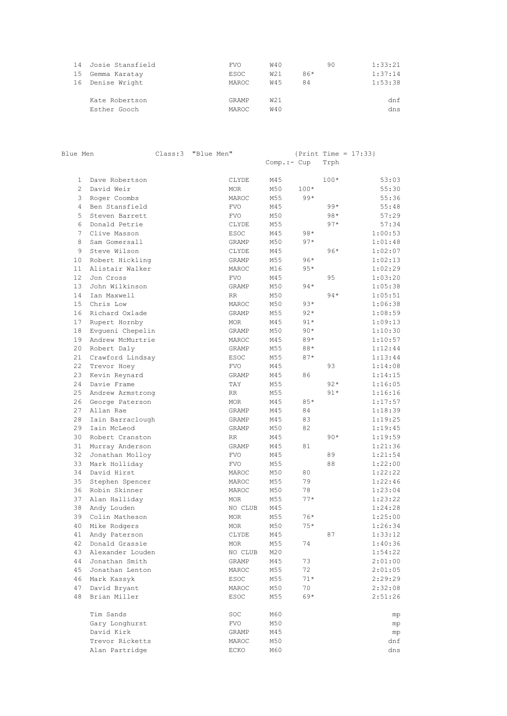| 14 Josie Stansfield | <b>FVO</b> | W40 | 90    | 1:33:21 |
|---------------------|------------|-----|-------|---------|
| 15 Gemma Karatay    | ESOC       | W21 | $86*$ | 1:37:14 |
| 16 Denise Wright    | MAROC.     | W45 | 84    | 1:53:38 |
|                     |            |     |       |         |
| Kate Robertson      | GRAMP      | W21 |       | dnf     |
| Esther Gooch        | MAROC      | W40 |       | dns     |

| Blue Men       |                              | Class:3 | "Blue Men" |                     | $Comp.--Cup$ |        | Trph   | {Print Time = $17:33$ } |
|----------------|------------------------------|---------|------------|---------------------|--------------|--------|--------|-------------------------|
|                |                              |         |            |                     |              |        |        |                         |
| $\mathbf{1}$   | Dave Robertson               |         |            | CLYDE               | M45          |        | $100*$ | 53:03                   |
| $\overline{2}$ | David Weir                   |         |            | <b>MOR</b>          | M50          | $100*$ |        | 55:30                   |
| 3              | Roger Coombs                 |         |            | MAROC               | M55          | $99*$  |        | 55:36                   |
| 4              | Ben Stansfield               |         |            | <b>FVO</b>          | M45          |        | $99*$  | 55:48                   |
| 5              | Steven Barrett               |         |            | <b>FVO</b>          | M50          |        | $98*$  | 57:29                   |
| 6              | Donald Petrie                |         |            | CLYDE               | M55          |        | $97*$  | 57:34                   |
| 7              | Clive Masson                 |         |            | <b>ESOC</b>         | M45          | $98*$  |        | 1:00:53                 |
| 8              | Sam Gomersall                |         |            | GRAMP               | M50          | $97*$  |        | 1:01:48                 |
| 9              | Steve Wilson                 |         |            | CLYDE               | M45          |        | $96*$  | 1:02:07                 |
| 10             | Robert Hickling              |         |            | GRAMP               | M55          | $96*$  |        | 1:02:13                 |
| 11             | Alistair Walker              |         |            | MAROC               | M16          | $95*$  |        | 1:02:29                 |
| 12             | Jon Cross                    |         |            | <b>FVO</b>          | M45          |        | 95     | 1:03:20                 |
| 13             | John Wilkinson               |         |            | GRAMP               | M50          | $94*$  |        | 1:05:38                 |
| 14             | Ian Maxwell                  |         |            | RR                  | M50          |        | $94*$  | 1:05:51                 |
| 15             | Chris Low                    |         |            | MAROC               | M50          | $93*$  |        | 1:06:38                 |
| 16             | Richard Oxlade               |         |            | GRAMP               | M55          | $92*$  |        | 1:08:59                 |
| 17             | Rupert Hornby                |         |            | <b>MOR</b>          | M45          | $91*$  |        | 1:09:13                 |
| 18             | Evgueni Chepelin             |         |            | GRAMP               | M50          | $90*$  |        | 1:10:30                 |
| 19             | Andrew McMurtrie             |         |            | MAROC               | M45          | $89*$  |        | 1:10:57                 |
| 20             | Robert Daly                  |         |            | <b>GRAMP</b>        | M55          | 88*    |        | 1:12:44                 |
| 21             | Crawford Lindsay             |         |            | <b>ESOC</b>         | M55          | $87*$  |        | 1:13:44                 |
| 22             | Trevor Hoey                  |         |            | <b>FVO</b>          | M45          |        | 93     | 1:14:08                 |
| 23             | Kevin Reynard                |         |            | GRAMP               | M45          | 86     |        | 1:14:15                 |
| 24             | Davie Frame                  |         |            | TAY                 | M55          |        | $92*$  | 1:16:05                 |
| 25             | Andrew Armstrong             |         |            | RR                  | M55          |        | $91*$  | 1:16:16                 |
| 26             | George Paterson              |         |            | <b>MOR</b>          | M45          | $85*$  |        | 1:17:57                 |
| 27             | Allan Rae                    |         |            | GRAMP               | M45          | 84     |        | 1:18:39                 |
| 28             | Iain Barraclough             |         |            | GRAMP               | M45          | 83     |        | 1:19:25                 |
| 29             | Iain McLeod                  |         |            | GRAMP               | M50          | 82     |        | 1:19:45                 |
| 30             | Robert Cranston              |         |            | RR                  | M45          |        | $90*$  | 1:19:59                 |
| 31             | Murray Anderson              |         |            | GRAMP               | M45          | 81     |        | 1:21:36<br>1:21:54      |
| 32             | Jonathan Molloy              |         |            | <b>FVO</b>          | M45          |        | 89     | 1:22:00                 |
| 33<br>34       | Mark Holliday<br>David Hirst |         |            | <b>FVO</b><br>MAROC | M55<br>M50   | 80     | 88     | 1:22:22                 |
| 35             | Stephen Spencer              |         |            |                     | M55          | 79     |        | 1:22:46                 |
| 36             | Robin Skinner                |         |            | MAROC<br>MAROC      | M50          | 78     |        | 1:23:04                 |
| 37             | Alan Halliday                |         |            | <b>MOR</b>          | M55          | $77*$  |        | 1:23:22                 |
| 38             | Andy Louden                  |         |            | NO CLUB             | M45          |        |        | 1:24:28                 |
| 39             | Colin Matheson               |         |            | <b>MOR</b>          | M55          | $76*$  |        | 1:25:00                 |
|                | 40 Mike Rodgers              |         |            | MOR                 | M50          | $75*$  |        | 1:26:34                 |
| 41             | Andy Paterson                |         |            | CLYDE               | M45          |        | 87     | 1:33:12                 |
|                | 42 Donald Grassie            |         |            | MOR                 | M55          | 74     |        | 1:40:36                 |
| 43             | Alexander Louden             |         |            | NO CLUB             | M20          |        |        | 1:54:22                 |
| 44             | Jonathan Smith               |         |            | GRAMP               | M45          | 73     |        | 2:01:00                 |
| 45             | Jonathan Lenton              |         |            | MAROC               | M55          | 72     |        | 2:01:05                 |
| 46             | Mark Kassyk                  |         |            | ESOC                | M55          | $71*$  |        | 2:29:29                 |
| 47             | David Bryant                 |         |            | MAROC               | M50          | 70     |        | 2:32:08                 |
| 48             | Brian Miller                 |         |            | ESOC                | M55          | $69*$  |        | 2:51:26                 |
|                | Tim Sands                    |         |            | SOC                 | M60          |        |        | mp                      |
|                | Gary Longhurst               |         |            | FVO                 | M50          |        |        | mp                      |
|                | David Kirk                   |         |            | GRAMP               | M45          |        |        | mp                      |
|                | Trevor Ricketts              |         |            | MAROC               | M50          |        |        | dnf                     |
|                | Alan Partridge               |         |            | ECKO                | M60          |        |        | dns                     |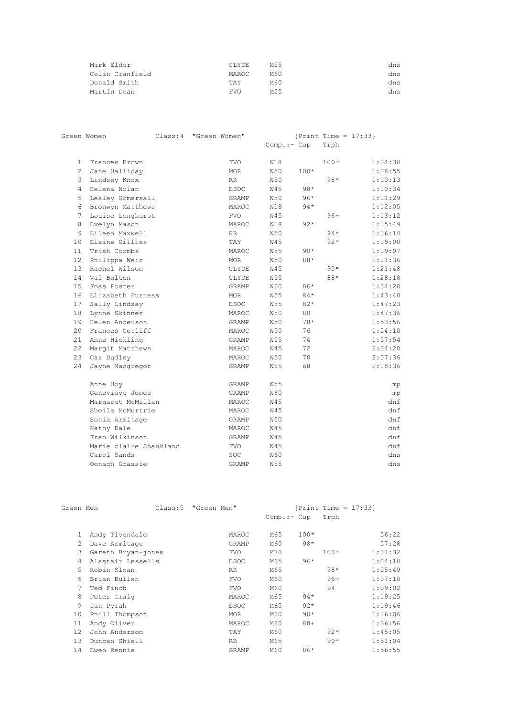| Mark Elder      | CLYDE.     | M55 | dns |
|-----------------|------------|-----|-----|
| Colin Cranfield | MAROC.     | M60 | dns |
| Donald Smith    | TAY        | M60 | dns |
| Martin Dean     | <b>FVO</b> | M55 | dns |

|                 | Green Women            | Class:4 | "Green Women" |              |              |        |        | ${Print Time = 17:33}$ |
|-----------------|------------------------|---------|---------------|--------------|--------------|--------|--------|------------------------|
|                 |                        |         |               |              | $Comp.:-Cup$ |        | Trph   |                        |
| $\mathbf{1}$    | Frances Brown          |         |               | <b>FVO</b>   | <b>W18</b>   |        | $100*$ | 1:04:30                |
| $\overline{2}$  | Jane Halliday          |         |               | <b>MOR</b>   | <b>W50</b>   | $100*$ |        | 1:08:55                |
| 3               | Lindsey Knox           |         |               | <b>RR</b>    | <b>W50</b>   |        | $98*$  | 1:10:13                |
| $\overline{4}$  | Helena Nolan           |         |               | <b>ESOC</b>  | <b>W45</b>   | $98*$  |        | 1:10:34                |
| 5               | Lesley Gomersall       |         |               | <b>GRAMP</b> | <b>W50</b>   | $96*$  |        | 1:11:29                |
| 6               | Bronwyn Matthews       |         |               | MAROC        | <b>W18</b>   | $94*$  |        | 1:12:05                |
| 7               | Louise Longhurst       |         |               | <b>FVO</b>   | W45          |        | $96+$  | 1:13:12                |
| 8               | Evelyn Mason           |         |               | MAROC        | <b>W18</b>   | $92*$  |        | 1:15:49                |
| 9               | Eileen Maxwell         |         |               | <b>RR</b>    | <b>W50</b>   |        | $94*$  | 1:16:14                |
| 10 <sup>°</sup> | Elaine Gillies         |         |               | TAY          | <b>W45</b>   |        | $92*$  | 1:19:00                |
| 11              | Trish Coombs           |         |               | MAROC        | <b>W55</b>   | $90*$  |        | 1:19:07                |
| 12 <sup>°</sup> | Philippa Weir          |         |               | <b>MOR</b>   | <b>W50</b>   | 88*    |        | 1:21:36                |
| 1.3             | Rachel Wilson          |         |               | CLYDE        | <b>W45</b>   |        | $90*$  | 1:21:48                |
| 14              | Val Belton             |         |               | CLYDE        | W55          |        | 88*    | 1:28:18                |
| 15              | Foss Foster            |         |               | GRAMP        | <b>W60</b>   | 86*    |        | 1:34:28                |
| 16              | Elizabeth Furness      |         |               | <b>MOR</b>   | <b>W55</b>   | $84*$  |        | 1:43:40                |
| 17 <sub>2</sub> | Sally Lindsay          |         |               | <b>ESOC</b>  | <b>W55</b>   | $82*$  |        | 1:47:23                |
| 18              | Lynne Skinner          |         |               | MAROC        | <b>W50</b>   | 80     |        | 1:47:36                |
| 19              | Helen Anderson         |         |               | GRAMP        | <b>W50</b>   | $78*$  |        | 1:53:56                |
| 20              | Frances Getliff        |         |               | MAROC        | <b>W50</b>   | 76     |        | 1:54:10                |
| 21              | Anne Hickling          |         |               | GRAMP        | <b>W55</b>   | 74     |        | 1:57:54                |
| 22              | Margit Matthews        |         |               | MAROC        | <b>W45</b>   | 72     |        | 2:04:20                |
| 23              | Caz Dudley             |         |               | MAROC        | <b>W50</b>   | 70     |        | 2:07:36                |
| 24              | Jayne Macqregor        |         |               | GRAMP        | <b>W55</b>   | 68     |        | 2:18:36                |
|                 | Anne Hoy               |         |               | GRAMP        | <b>W55</b>   |        |        | mp                     |
|                 | Genevieve Jones        |         |               | GRAMP        | <b>W60</b>   |        |        | mp                     |
|                 | Margaret McMillan      |         |               | MAROC        | <b>W45</b>   |        |        | dnf                    |
|                 | Sheila McMurtrie       |         |               | MAROC        | <b>W45</b>   |        |        | dnf                    |
|                 | Sonia Armitage         |         |               | <b>GRAMP</b> | <b>W50</b>   |        |        | dnf                    |
|                 | Kathy Dale             |         |               | MAROC        | <b>W45</b>   |        |        | dnf                    |
|                 | Fran Wilkinson         |         |               | GRAMP        | <b>W45</b>   |        |        | dnf                    |
|                 | Marie claire Shankland |         |               | <b>FVO</b>   | W45          |        |        | dnf                    |
|                 | Carol Sands            |         |               | SOC          | <b>W60</b>   |        |        | dns                    |
|                 | Oonagh Grassie         |         |               | <b>GRAMP</b> | <b>W55</b>   |        |        | dns                    |

| Green Men      |                    | Class:5 | "Green Men" |             |              |        |        | $\{Print Time = 17:33\}$ |
|----------------|--------------------|---------|-------------|-------------|--------------|--------|--------|--------------------------|
|                |                    |         |             |             | $Comp.:-Cup$ |        | Trph   |                          |
|                |                    |         |             |             | M65          | $100*$ |        | 56:22                    |
|                | Andy Tivendale     |         |             | MAROC       |              |        |        |                          |
| $\mathfrak{D}$ | Dave Armitage      |         |             | GRAMP       | M60          | $98*$  |        | 57:28                    |
| 3              | Gareth Bryan-jones |         |             | <b>FVO</b>  | M70          |        | $100*$ | 1:01:32                  |
| 4              | Alastair Lessells  |         |             | <b>ESOC</b> | M65          | $96*$  |        | 1:04:10                  |
| 5              | Robin Sloan        |         |             | RR.         | M65          |        | $98*$  | 1:05:49                  |
| 6              | Brian Bullen       |         |             | <b>FVO</b>  | M60          |        | $96+$  | 1:07:10                  |
|                | Ted Finch          |         |             | <b>FVO</b>  | M60          |        | 94     | 1:09:02                  |
| 8              | Peter Craig        |         |             | MAROC       | M65          | $94*$  |        | 1:19:25                  |
| 9              | Ian Pyrah          |         |             | <b>ESOC</b> | M65          | $92*$  |        | 1:19:46                  |
| 10             | Phill Thompson     |         |             | MOR.        | M60          | $90*$  |        | 1:26:06                  |
| 11             | Andy Oliver        |         |             | MAROC       | M60          | $88+$  |        | 1:36:56                  |
| 12             | John Anderson      |         |             | TAY         | M60          |        | $92*$  | 1:45:05                  |
| 1.3            | Duncan Shiell      |         |             | RR.         | M65          |        | $90*$  | 1:51:04                  |
| 14             | Ewen Rennie        |         |             | GRAMP       | M60          | $86*$  |        | 1:56:55                  |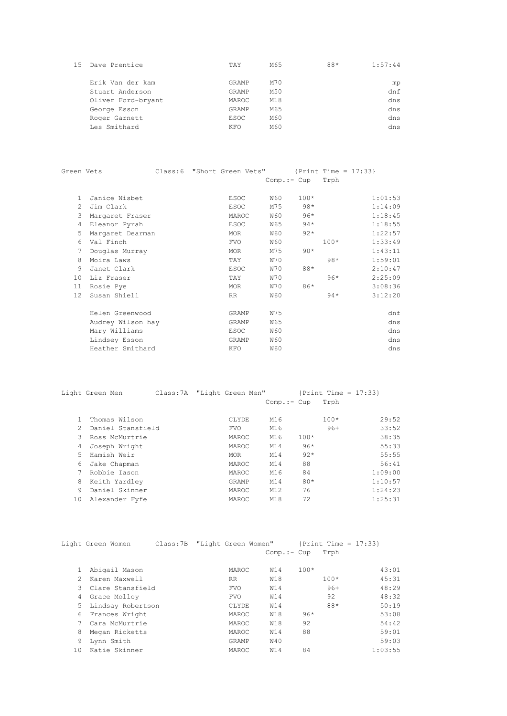| 15 | Dave Prentice      | TAY   | M65 | $88*$ | 1:57:44 |
|----|--------------------|-------|-----|-------|---------|
|    | Erik Van der kam   | GRAMP | M70 |       | mp      |
|    | Stuart Anderson    | GRAMP | M50 |       | dnf     |
|    | Oliver Ford-bryant | MAROC | M18 |       | dns     |
|    | George Esson       | GRAMP | M65 |       | dns     |
|    | Roger Garnett      | ESOC  | M60 |       | dns     |
|    | Les Smithard       | KFO   | M60 |       | dns     |

| Green Vets      |                   |  | Class: 6 "Short Green Vets" ${Print Time = 17:33}$ |              |        |        |         |
|-----------------|-------------------|--|----------------------------------------------------|--------------|--------|--------|---------|
|                 |                   |  |                                                    | $Comp.:-Cup$ |        | Trph   |         |
|                 |                   |  |                                                    |              |        |        |         |
| $\mathbf{1}$    | Janice Nisbet     |  | <b>ESOC</b>                                        | W60          | $100*$ |        | 1:01:53 |
| $\mathcal{L}$   | Jim Clark         |  | <b>ESOC</b>                                        | M75          | $98*$  |        | 1:14:09 |
| 3               | Margaret Fraser   |  | MAROC                                              | <b>W60</b>   | $96*$  |        | 1:18:45 |
| 4               | Eleanor Pyrah     |  | <b>ESOC</b>                                        | W65          | $94*$  |        | 1:18:55 |
| 5               | Margaret Dearman  |  | MOR                                                | W60          | $92*$  |        | 1:22:57 |
| 6               | Val Finch         |  | <b>FVO</b>                                         | <b>W60</b>   |        | $100*$ | 1:33:49 |
| $7\phantom{.0}$ | Douglas Murray    |  | MOR                                                | M75          | $90*$  |        | 1:43:11 |
| 8               | Moira Laws        |  | TAY                                                | W70          |        | $98*$  | 1:59:01 |
| 9               | Janet Clark       |  | <b>ESOC</b>                                        | <b>W70</b>   | 88*    |        | 2:10:47 |
| 10 <sup>°</sup> | Liz Fraser        |  | TAY                                                | W70          |        | $96*$  | 2:25:09 |
| 11              | Rosie Pye         |  | MOR                                                | <b>W70</b>   | $86*$  |        | 3:08:36 |
| 12.             | Susan Shiell      |  | RR                                                 | <b>W60</b>   |        | $94*$  | 3:12:20 |
|                 | Helen Greenwood   |  | <b>GRAMP</b>                                       | W75          |        |        | dnf     |
|                 | Audrey Wilson hay |  | GRAMP                                              | W65          |        |        | dns     |
|                 | Mary Williams     |  | <b>ESOC</b>                                        | <b>W60</b>   |        |        | dns     |
|                 |                   |  |                                                    |              |        |        |         |
|                 | Lindsey Esson     |  | GRAMP                                              | <b>W60</b>   |        |        | dns     |
|                 | Heather Smithard  |  | KFO                                                | <b>W60</b>   |        |        | dns     |

|    | Light Green Men     |  |            | Class: 7A "Light Green Men" ${Print Time = 17:33}$ |        |        |         |
|----|---------------------|--|------------|----------------------------------------------------|--------|--------|---------|
|    |                     |  |            | $Comp. := Cup$                                     |        | Trph   |         |
|    | Thomas Wilson       |  | CLYDE      | M16                                                |        | $100*$ | 29:52   |
|    | 2 Daniel Stansfield |  | <b>FVO</b> | M16                                                |        | $96+$  | 33:52   |
|    | 3 Ross McMurtrie    |  | MAROC      | M16                                                | $100*$ |        | 38:35   |
| 4  | Joseph Wright       |  | MAROC      | M14                                                | $96*$  |        | 55:33   |
| .5 | Hamish Weir         |  | MOR        | M14                                                | $92*$  |        | 55:55   |
|    | 6 Jake Chapman      |  | MAROC      | M14                                                | 88     |        | 56:41   |
|    | Robbie Iason        |  | MAROC      | M16                                                | 84     |        | 1:09:00 |
|    | 8 Keith Yardley     |  | GRAMP      | M14                                                | $80*$  |        | 1:10:57 |
| 9  | Daniel Skinner      |  | MAROC      | M12                                                | 76     |        | 1:24:23 |
| 10 | Alexander Fyfe      |  | MAROC      | M18                                                | 72     |        | 1:25:31 |

|    | Light Green Women            | Class: 7B "Light Green Women" {Print Time = $17:33$ } |            |              |        |        |         |
|----|------------------------------|-------------------------------------------------------|------------|--------------|--------|--------|---------|
|    |                              |                                                       |            | $Comp.:-Cup$ |        | Trph   |         |
|    | Abigail Mason                |                                                       | MAROC.     | W14          | $100*$ |        | 43:01   |
|    | Karen Maxwell<br>$2^{\circ}$ |                                                       | RR         | W18          |        | $100*$ | 45:31   |
|    | 3 Clare Stansfield           |                                                       | <b>FVO</b> | W14          |        | $96+$  | 48:29   |
|    | 4 Grace Molloy               |                                                       | <b>FVO</b> | W14          |        | 92     | 48:32   |
|    | 5 Lindsay Robertson          |                                                       | CLYDE      | W14          |        | $88*$  | 50:19   |
|    | 6 Frances Wright             |                                                       | MAROC      | W18          | $96*$  |        | 53:08   |
|    | Cara McMurtrie               |                                                       | MAROC      | W18          | 92     |        | 54:42   |
| 8  | Megan Ricketts               |                                                       | MAROC      | W14          | 88     |        | 59:01   |
| 9  | Lynn Smith                   |                                                       | GRAMP      | <b>W40</b>   |        |        | 59:03   |
| 10 | Katie Skinner                |                                                       | MAROC      | <b>W14</b>   | 84     |        | 1:03:55 |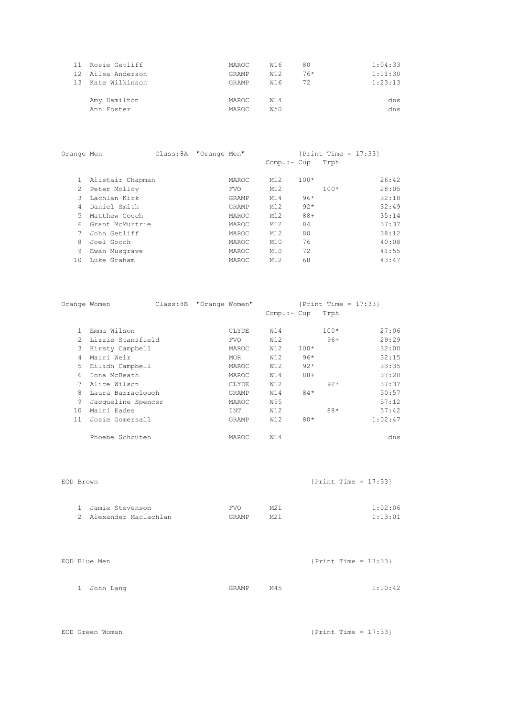| 11 Rosie Getliff  | MAROC        | W16 | 80    | 1:04:33 |
|-------------------|--------------|-----|-------|---------|
| 12 Ailsa Anderson | GRAMP        | W12 | $76*$ | 1:11:30 |
| 13 Kate Wilkinson | GRAMP        | W16 | 72    | 1:23:13 |
|                   |              |     |       |         |
| Amy Hamilton      | MAROC        | W14 |       | dns     |
| Ann Foster        | <b>MAROC</b> | W50 |       | dns     |
|                   |              |     |       |         |

| Orange Men      |                  |              |                        |        |              |                          |
|-----------------|------------------|--------------|------------------------|--------|--------------|--------------------------|
|                 |                  |              |                        |        | Trph         |                          |
|                 |                  | MAROC        | M12                    | $100*$ |              | 26:42                    |
| Peter Molloy    |                  | <b>FVO</b>   | M12                    |        | $100*$       | 28:05                    |
| Lachlan Kirk    |                  | GRAMP        | M14                    | $96*$  |              | 32:18                    |
| Daniel Smith    |                  | GRAMP        | M12                    | $92*$  |              | 32:49                    |
| Matthew Gooch   |                  | MAROC        | M12                    | $88+$  |              | 35:14                    |
| Grant McMurtrie |                  | <b>MAROC</b> | M12                    | 84     |              | 37:37                    |
| John Getliff    |                  | MAROC        | M12                    | 80     |              | 38:12                    |
| Joel Gooch      |                  | MAROC        | M10                    | 76     |              | 40:08                    |
| Ewan Musgrave   |                  | MAROC        | M10                    | 72     |              | 41:55                    |
| Luke Graham     |                  | MAROC        | M12                    | 68     |              | 43:47                    |
|                 | Alistair Chapman |              | Class: 8A "Orange Men" |        | $Comp.:-Cup$ | $\{Print Time = 17:33\}$ |

| Orange Women  |                    | Class: 8B "Orange Women" |            |                 |        | $\{Print Time = 17:33\}$ |         |
|---------------|--------------------|--------------------------|------------|-----------------|--------|--------------------------|---------|
|               |                    |                          |            | $Comp.:$ $Cup$  |        | Trph                     |         |
|               | Emma Wilson        |                          | CLYDE      | W14             |        | $100*$                   | 27:06   |
| $\mathcal{L}$ | Lizzie Stansfield  |                          | <b>FVO</b> | W12             |        | $96+$                    | 29:29   |
| 3             | Kirsty Campbell    |                          | MAROC      | W12             | $100*$ |                          | 32:00   |
| 4             | Mairi Weir         |                          | MOR        | W12             | $96*$  |                          | 32:15   |
| 5             | Eilidh Campbell    |                          | MAROC      | W12             | $92*$  |                          | 33:35   |
| 6             | Iona McBeath       |                          | MAROC      | W14             | $88+$  |                          | 37:20   |
|               | Alice Wilson       |                          | CLYDE      | W12             |        | $92*$                    | 37:37   |
| 8             | Laura Barraclough  |                          | GRAMP      | W14             | $84*$  |                          | 50:57   |
| 9             | Jacqueline Spencer |                          | MAROC      | W <sub>55</sub> |        |                          | 57:12   |
| 10            | Mairi Eades        |                          | INT        | W12             |        | 88*                      | 57:42   |
| 11            | Josie Gomersall    |                          | GRAMP      | W12             | $80*$  |                          | 1:02:47 |
|               | Phoebe Schouten    |                          | MAROC      | W14             |        |                          | dns     |

|                                             |                 | $\{Print Time = 17:33\}$ |         |
|---------------------------------------------|-----------------|--------------------------|---------|
| <b>FVO</b>                                  | M2.1            |                          | 1:02:06 |
| GRAMP                                       | M <sub>21</sub> |                          | 1:13:01 |
| 1 Jamie Stevenson<br>2 Alexander Maclachlan |                 |                          |         |

|  | EOD Blue Men |  |       |     | $\{Print Time = 17:33\}$ |         |
|--|--------------|--|-------|-----|--------------------------|---------|
|  |              |  |       |     |                          |         |
|  | 1 John Lang  |  | GRAMP | M45 |                          | 1:10:42 |